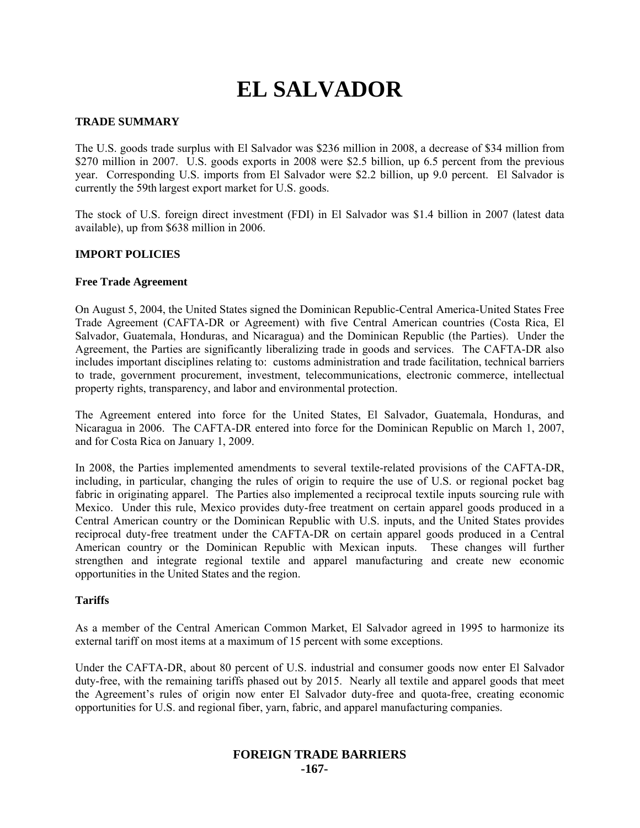# **EL SALVADOR**

## **TRADE SUMMARY**

The U.S. goods trade surplus with El Salvador was \$236 million in 2008, a decrease of \$34 million from \$270 million in 2007. U.S. goods exports in 2008 were \$2.5 billion, up 6.5 percent from the previous year. Corresponding U.S. imports from El Salvador were \$2.2 billion, up 9.0 percent. El Salvador is currently the 59th largest export market for U.S. goods.

The stock of U.S. foreign direct investment (FDI) in El Salvador was \$1.4 billion in 2007 (latest data available), up from \$638 million in 2006.

## **IMPORT POLICIES**

## **Free Trade Agreement**

On August 5, 2004, the United States signed the Dominican Republic-Central America-United States Free Trade Agreement (CAFTA-DR or Agreement) with five Central American countries (Costa Rica, El Salvador, Guatemala, Honduras, and Nicaragua) and the Dominican Republic (the Parties). Under the Agreement, the Parties are significantly liberalizing trade in goods and services. The CAFTA-DR also includes important disciplines relating to: customs administration and trade facilitation, technical barriers to trade, government procurement, investment, telecommunications, electronic commerce, intellectual property rights, transparency, and labor and environmental protection.

The Agreement entered into force for the United States, El Salvador, Guatemala, Honduras, and Nicaragua in 2006. The CAFTA-DR entered into force for the Dominican Republic on March 1, 2007, and for Costa Rica on January 1, 2009.

In 2008, the Parties implemented amendments to several textile-related provisions of the CAFTA-DR, including, in particular, changing the rules of origin to require the use of U.S. or regional pocket bag fabric in originating apparel. The Parties also implemented a reciprocal textile inputs sourcing rule with Mexico. Under this rule, Mexico provides duty-free treatment on certain apparel goods produced in a Central American country or the Dominican Republic with U.S. inputs, and the United States provides reciprocal duty-free treatment under the CAFTA-DR on certain apparel goods produced in a Central American country or the Dominican Republic with Mexican inputs. These changes will further strengthen and integrate regional textile and apparel manufacturing and create new economic opportunities in the United States and the region.

## **Tariffs**

As a member of the Central American Common Market, El Salvador agreed in 1995 to harmonize its external tariff on most items at a maximum of 15 percent with some exceptions.

Under the CAFTA-DR, about 80 percent of U.S. industrial and consumer goods now enter El Salvador duty-free, with the remaining tariffs phased out by 2015. Nearly all textile and apparel goods that meet the Agreement's rules of origin now enter El Salvador duty-free and quota-free, creating economic opportunities for U.S. and regional fiber, yarn, fabric, and apparel manufacturing companies.

# **FOREIGN TRADE BARRIERS -167-**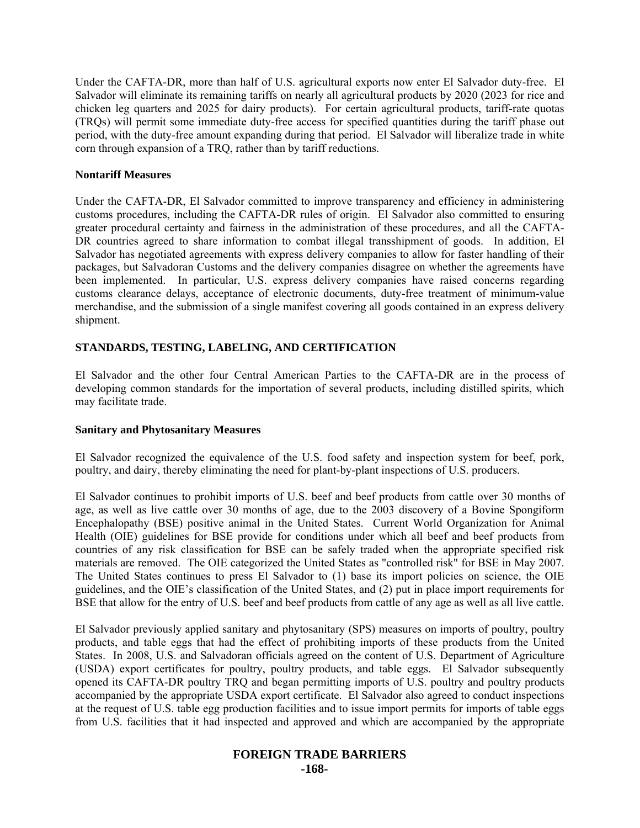Under the CAFTA-DR, more than half of U.S. agricultural exports now enter El Salvador duty-free. El Salvador will eliminate its remaining tariffs on nearly all agricultural products by 2020 (2023 for rice and chicken leg quarters and 2025 for dairy products). For certain agricultural products, tariff-rate quotas (TRQs) will permit some immediate duty-free access for specified quantities during the tariff phase out period, with the duty-free amount expanding during that period. El Salvador will liberalize trade in white corn through expansion of a TRQ, rather than by tariff reductions.

## **Nontariff Measures**

Under the CAFTA-DR, El Salvador committed to improve transparency and efficiency in administering customs procedures, including the CAFTA-DR rules of origin. El Salvador also committed to ensuring greater procedural certainty and fairness in the administration of these procedures, and all the CAFTA-DR countries agreed to share information to combat illegal transshipment of goods. In addition, El Salvador has negotiated agreements with express delivery companies to allow for faster handling of their packages, but Salvadoran Customs and the delivery companies disagree on whether the agreements have been implemented. In particular, U.S. express delivery companies have raised concerns regarding customs clearance delays, acceptance of electronic documents, duty-free treatment of minimum-value merchandise, and the submission of a single manifest covering all goods contained in an express delivery shipment.

# **STANDARDS, TESTING, LABELING, AND CERTIFICATION**

El Salvador and the other four Central American Parties to the CAFTA-DR are in the process of developing common standards for the importation of several products, including distilled spirits, which may facilitate trade.

# **Sanitary and Phytosanitary Measures**

El Salvador recognized the equivalence of the U.S. food safety and inspection system for beef, pork, poultry, and dairy, thereby eliminating the need for plant-by-plant inspections of U.S. producers.

El Salvador continues to prohibit imports of U.S. beef and beef products from cattle over 30 months of age, as well as live cattle over 30 months of age, due to the 2003 discovery of a Bovine Spongiform Encephalopathy (BSE) positive animal in the United States. Current World Organization for Animal Health (OIE) guidelines for BSE provide for conditions under which all beef and beef products from countries of any risk classification for BSE can be safely traded when the appropriate specified risk materials are removed. The OIE categorized the United States as "controlled risk" for BSE in May 2007. The United States continues to press El Salvador to (1) base its import policies on science, the OIE guidelines, and the OIE's classification of the United States, and (2) put in place import requirements for BSE that allow for the entry of U.S. beef and beef products from cattle of any age as well as all live cattle.

El Salvador previously applied sanitary and phytosanitary (SPS) measures on imports of poultry, poultry products, and table eggs that had the effect of prohibiting imports of these products from the United States. In 2008, U.S. and Salvadoran officials agreed on the content of U.S. Department of Agriculture (USDA) export certificates for poultry, poultry products, and table eggs. El Salvador subsequently opened its CAFTA-DR poultry TRQ and began permitting imports of U.S. poultry and poultry products accompanied by the appropriate USDA export certificate. El Salvador also agreed to conduct inspections at the request of U.S. table egg production facilities and to issue import permits for imports of table eggs from U.S. facilities that it had inspected and approved and which are accompanied by the appropriate

# **FOREIGN TRADE BARRIERS -168-**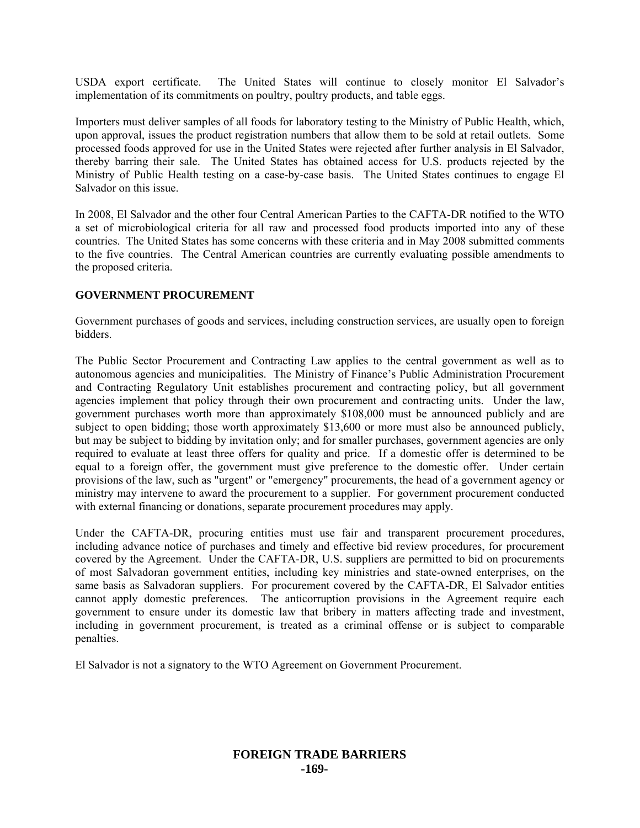USDA export certificate. The United States will continue to closely monitor El Salvador's implementation of its commitments on poultry, poultry products, and table eggs.

Importers must deliver samples of all foods for laboratory testing to the Ministry of Public Health, which, upon approval, issues the product registration numbers that allow them to be sold at retail outlets. Some processed foods approved for use in the United States were rejected after further analysis in El Salvador, thereby barring their sale. The United States has obtained access for U.S. products rejected by the Ministry of Public Health testing on a case-by-case basis. The United States continues to engage El Salvador on this issue.

In 2008, El Salvador and the other four Central American Parties to the CAFTA-DR notified to the WTO a set of microbiological criteria for all raw and processed food products imported into any of these countries. The United States has some concerns with these criteria and in May 2008 submitted comments to the five countries. The Central American countries are currently evaluating possible amendments to the proposed criteria.

## **GOVERNMENT PROCUREMENT**

Government purchases of goods and services, including construction services, are usually open to foreign bidders.

The Public Sector Procurement and Contracting Law applies to the central government as well as to autonomous agencies and municipalities. The Ministry of Finance's Public Administration Procurement and Contracting Regulatory Unit establishes procurement and contracting policy, but all government agencies implement that policy through their own procurement and contracting units. Under the law, government purchases worth more than approximately \$108,000 must be announced publicly and are subject to open bidding; those worth approximately \$13,600 or more must also be announced publicly, but may be subject to bidding by invitation only; and for smaller purchases, government agencies are only required to evaluate at least three offers for quality and price. If a domestic offer is determined to be equal to a foreign offer, the government must give preference to the domestic offer. Under certain provisions of the law, such as "urgent" or "emergency" procurements, the head of a government agency or ministry may intervene to award the procurement to a supplier. For government procurement conducted with external financing or donations, separate procurement procedures may apply.

Under the CAFTA-DR, procuring entities must use fair and transparent procurement procedures, including advance notice of purchases and timely and effective bid review procedures, for procurement covered by the Agreement. Under the CAFTA-DR, U.S. suppliers are permitted to bid on procurements of most Salvadoran government entities, including key ministries and state-owned enterprises, on the same basis as Salvadoran suppliers. For procurement covered by the CAFTA-DR, El Salvador entities cannot apply domestic preferences. The anticorruption provisions in the Agreement require each government to ensure under its domestic law that bribery in matters affecting trade and investment, including in government procurement, is treated as a criminal offense or is subject to comparable penalties.

El Salvador is not a signatory to the WTO Agreement on Government Procurement.

# **FOREIGN TRADE BARRIERS -169-**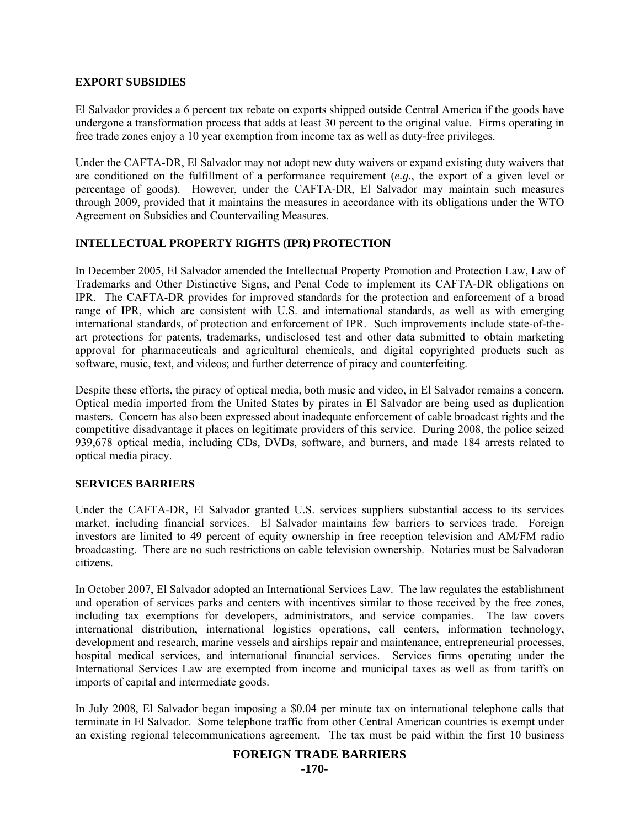## **EXPORT SUBSIDIES**

El Salvador provides a 6 percent tax rebate on exports shipped outside Central America if the goods have undergone a transformation process that adds at least 30 percent to the original value. Firms operating in free trade zones enjoy a 10 year exemption from income tax as well as duty-free privileges.

Under the CAFTA-DR, El Salvador may not adopt new duty waivers or expand existing duty waivers that are conditioned on the fulfillment of a performance requirement (*e.g.*, the export of a given level or percentage of goods). However, under the CAFTA-DR, El Salvador may maintain such measures through 2009, provided that it maintains the measures in accordance with its obligations under the WTO Agreement on Subsidies and Countervailing Measures.

# **INTELLECTUAL PROPERTY RIGHTS (IPR) PROTECTION**

In December 2005, El Salvador amended the Intellectual Property Promotion and Protection Law, Law of Trademarks and Other Distinctive Signs, and Penal Code to implement its CAFTA-DR obligations on IPR. The CAFTA-DR provides for improved standards for the protection and enforcement of a broad range of IPR, which are consistent with U.S. and international standards, as well as with emerging international standards, of protection and enforcement of IPR. Such improvements include state-of-theart protections for patents, trademarks, undisclosed test and other data submitted to obtain marketing approval for pharmaceuticals and agricultural chemicals, and digital copyrighted products such as software, music, text, and videos; and further deterrence of piracy and counterfeiting.

Despite these efforts, the piracy of optical media, both music and video, in El Salvador remains a concern. Optical media imported from the United States by pirates in El Salvador are being used as duplication masters. Concern has also been expressed about inadequate enforcement of cable broadcast rights and the competitive disadvantage it places on legitimate providers of this service. During 2008, the police seized 939,678 optical media, including CDs, DVDs, software, and burners, and made 184 arrests related to optical media piracy.

# **SERVICES BARRIERS**

Under the CAFTA-DR, El Salvador granted U.S. services suppliers substantial access to its services market, including financial services. El Salvador maintains few barriers to services trade. Foreign investors are limited to 49 percent of equity ownership in free reception television and AM/FM radio broadcasting. There are no such restrictions on cable television ownership. Notaries must be Salvadoran citizens.

In October 2007, El Salvador adopted an International Services Law. The law regulates the establishment and operation of services parks and centers with incentives similar to those received by the free zones, including tax exemptions for developers, administrators, and service companies. The law covers international distribution, international logistics operations, call centers, information technology, development and research, marine vessels and airships repair and maintenance, entrepreneurial processes, hospital medical services, and international financial services. Services firms operating under the International Services Law are exempted from income and municipal taxes as well as from tariffs on imports of capital and intermediate goods.

In July 2008, El Salvador began imposing a \$0.04 per minute tax on international telephone calls that terminate in El Salvador. Some telephone traffic from other Central American countries is exempt under an existing regional telecommunications agreement. The tax must be paid within the first 10 business

## **FOREIGN TRADE BARRIERS**